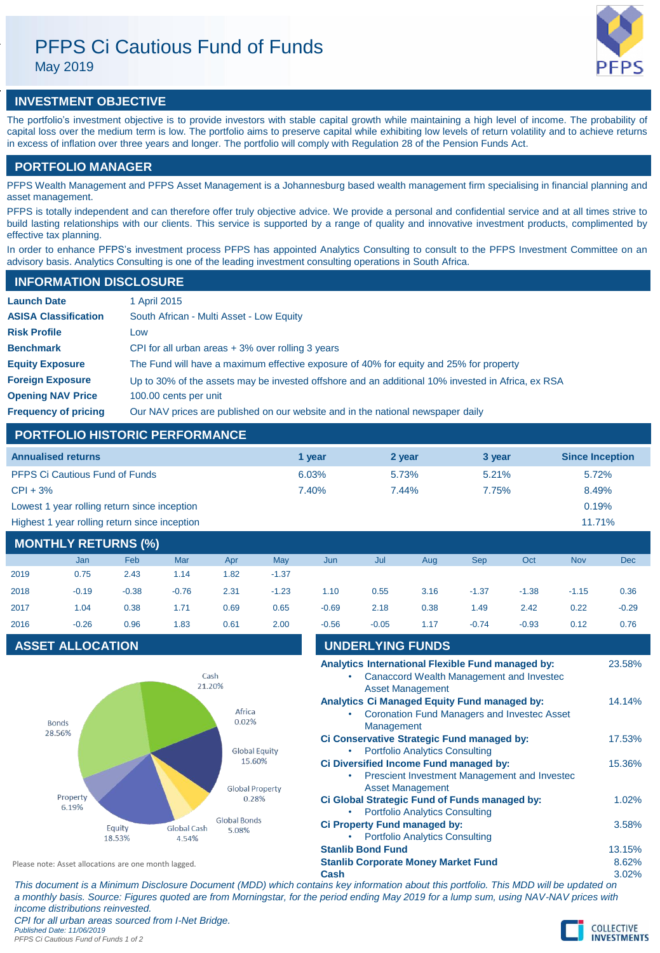# PFPS Ci Cautious Fund of Funds

May 2019



# **INVESTMENT OBJECTIVE**

The portfolio's investment objective is to provide investors with stable capital growth while maintaining a high level of income. The probability of capital loss over the medium term is low. The portfolio aims to preserve capital while exhibiting low levels of return volatility and to achieve returns in excess of inflation over three years and longer. The portfolio will comply with Regulation 28 of the Pension Funds Act.

# **PORTFOLIO MANAGER**

PFPS Wealth Management and PFPS Asset Management is a Johannesburg based wealth management firm specialising in financial planning and asset management.

PFPS is totally independent and can therefore offer truly objective advice. We provide a personal and confidential service and at all times strive to build lasting relationships with our clients. This service is supported by a range of quality and innovative investment products, complimented by effective tax planning.

In order to enhance PFPS's investment process PFPS has appointed Analytics Consulting to consult to the PFPS Investment Committee on an advisory basis. Analytics Consulting is one of the leading investment consulting operations in South Africa.

## **INFORMATION DISCLOSURE**

| <b>Launch Date</b>          | 1 April 2015                                                                                      |
|-----------------------------|---------------------------------------------------------------------------------------------------|
| <b>ASISA Classification</b> | South African - Multi Asset - Low Equity                                                          |
| <b>Risk Profile</b>         | Low                                                                                               |
| <b>Benchmark</b>            | CPI for all urban areas $+3\%$ over rolling 3 years                                               |
| <b>Equity Exposure</b>      | The Fund will have a maximum effective exposure of 40% for equity and 25% for property            |
| <b>Foreign Exposure</b>     | Up to 30% of the assets may be invested offshore and an additional 10% invested in Africa, ex RSA |
| <b>Opening NAV Price</b>    | 100.00 cents per unit                                                                             |
| <b>Frequency of pricing</b> | Our NAV prices are published on our website and in the national newspaper daily                   |

# **PORTFOLIO HISTORIC PERFORMANCE**

| <b>Annualised returns</b>                     | 1 vear | 2 year | 3 year | <b>Since Inception</b> |
|-----------------------------------------------|--------|--------|--------|------------------------|
| <b>PFPS Ci Cautious Fund of Funds</b>         | 6.03%  | 5.73%  | 5.21%  | 5.72%                  |
| $CPI + 3%$                                    | 7.40%  | 7.44%  | 7.75%  | 8.49%                  |
| Lowest 1 year rolling return since inception  |        |        |        | 0.19%                  |
| Highest 1 year rolling return since inception |        |        |        | 11.71%                 |

# **MONTHLY RETURNS (%)**

|      | <b>Jan</b> | Feb     | Mar     | Apr  | May     | Jun     | Jul     | Aug  | <b>Sep</b> | Oct     | <b>Nov</b> | <b>Dec</b> |
|------|------------|---------|---------|------|---------|---------|---------|------|------------|---------|------------|------------|
| 2019 | 0.75       | 2.43    | 1.14    | 1.82 | $-1.37$ |         |         |      |            |         |            |            |
| 2018 | $-0.19$    | $-0.38$ | $-0.76$ | 2.31 | $-1.23$ | 1.10    | 0.55    | 3.16 | $-1.37$    | $-1.38$ | $-1.15$    | 0.36       |
| 2017 | 1.04       | 0.38    | 1.71    | 0.69 | 0.65    | $-0.69$ | 2.18    | 0.38 | 1.49       | 2.42    | 0.22       | $-0.29$    |
| 2016 | $-0.26$    | 0.96    | 1.83    | 0.61 | 2.00    | $-0.56$ | $-0.05$ | 1.17 | $-0.74$    | $-0.93$ | 0.12       | 0.76       |

# **ASSET ALLOCATION**



| 2016                                                 | $-0.26$                 | 0.96             | 1.83                 | 0.61                  | 2.00 | $-0.56$                 | $-0.05$                                                           | 1.17                                  | $-0.74$ | $-0.93$                                                                                       | 0.12 | 0.76   |
|------------------------------------------------------|-------------------------|------------------|----------------------|-----------------------|------|-------------------------|-------------------------------------------------------------------|---------------------------------------|---------|-----------------------------------------------------------------------------------------------|------|--------|
|                                                      | <b>ASSET ALLOCATION</b> |                  |                      |                       |      | <b>UNDERLYING FUNDS</b> |                                                                   |                                       |         |                                                                                               |      |        |
|                                                      |                         |                  | Cash<br>21.20%       |                       |      |                         |                                                                   | <b>Asset Management</b>               |         | Analytics International Flexible Fund managed by:<br>Canaccord Wealth Management and Invested |      | 23.58% |
|                                                      | <b>Bonds</b>            |                  |                      | Africa<br>0.02%       |      |                         | <b>Analytics Ci Managed Equity Fund managed by:</b><br>Management |                                       |         | <b>Coronation Fund Managers and Invested Asset</b>                                            |      | 14.14% |
| 28.56%                                               |                         |                  |                      | <b>Global Equity</b>  |      |                         | Ci Conservative Strategic Fund managed by:                        | <b>Portfolio Analytics Consulting</b> |         |                                                                                               |      | 17.53% |
| 15.60%<br><b>Global Property</b>                     |                         |                  |                      |                       |      |                         | Ci Diversified Income Fund managed by:                            | <b>Asset Management</b>               |         | Prescient Investment Management and Investec                                                  |      | 15.36% |
| Property<br>6.19%                                    |                         |                  |                      | 0.28%                 |      |                         | Ci Global Strategic Fund of Funds managed by:                     | <b>Portfolio Analytics Consulting</b> |         |                                                                                               |      | 1.02%  |
|                                                      |                         | Equity<br>18.53% | Global Cash<br>4.54% | Global Bonds<br>5.08% |      |                         | <b>Ci Property Fund managed by:</b>                               | <b>Portfolio Analytics Consulting</b> |         |                                                                                               |      | 3.58%  |
|                                                      |                         |                  |                      |                       |      |                         | <b>Stanlib Bond Fund</b>                                          |                                       |         |                                                                                               |      | 13.15% |
| Please note: Asset allocations are one month lagged. |                         |                  |                      |                       |      |                         | <b>Stanlib Corporate Money Market Fund</b>                        |                                       |         |                                                                                               |      | 8.62%  |
|                                                      |                         |                  |                      |                       |      | Cash                    |                                                                   |                                       |         |                                                                                               |      | 3.02%  |

*This document is a Minimum Disclosure Document (MDD) which contains key information about this portfolio. This MDD will be updated on a monthly basis. Source: Figures quoted are from Morningstar, for the period ending May 2019 for a lump sum, using NAV-NAV prices with income distributions reinvested. CPI for all urban areas sourced from I-Net Bridge. Published Date: 11/06/2019 PFPS Ci Cautious Fund of Funds 1 of 2*